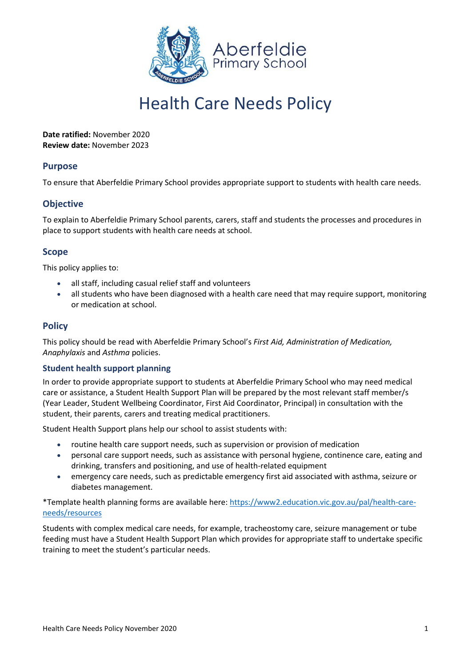

# Health Care Needs Policy

**Date ratified:** November 2020 **Review date:** November 2023

## **Purpose**

To ensure that Aberfeldie Primary School provides appropriate support to students with health care needs.

## **Objective**

To explain to Aberfeldie Primary School parents, carers, staff and students the processes and procedures in place to support students with health care needs at school.

## **Scope**

This policy applies to:

- all staff, including casual relief staff and volunteers
- all students who have been diagnosed with a health care need that may require support, monitoring or medication at school.

## **Policy**

This policy should be read with Aberfeldie Primary School's *First Aid, Administration of Medication, Anaphylaxis* and *Asthma* policies.

#### **Student health support planning**

In order to provide appropriate support to students at Aberfeldie Primary School who may need medical care or assistance, a Student Health Support Plan will be prepared by the most relevant staff member/s (Year Leader, Student Wellbeing Coordinator, First Aid Coordinator, Principal) in consultation with the student, their parents, carers and treating medical practitioners.

Student Health Support plans help our school to assist students with:

- routine health care support needs, such as supervision or provision of medication
- personal care support needs, such as assistance with personal hygiene, continence care, eating and drinking, transfers and positioning, and use of health-related equipment
- emergency care needs, such as predictable emergency first aid associated with asthma, seizure or diabetes management.

\*Template health planning forms are available here: [https://www2.education.vic.gov.au/pal/health-care](https://www2.education.vic.gov.au/pal/health-care-needs/resources)[needs/resources](https://www2.education.vic.gov.au/pal/health-care-needs/resources)

Students with complex medical care needs, for example, tracheostomy care, seizure management or tube feeding must have a Student Health Support Plan which provides for appropriate staff to undertake specific training to meet the student's particular needs.